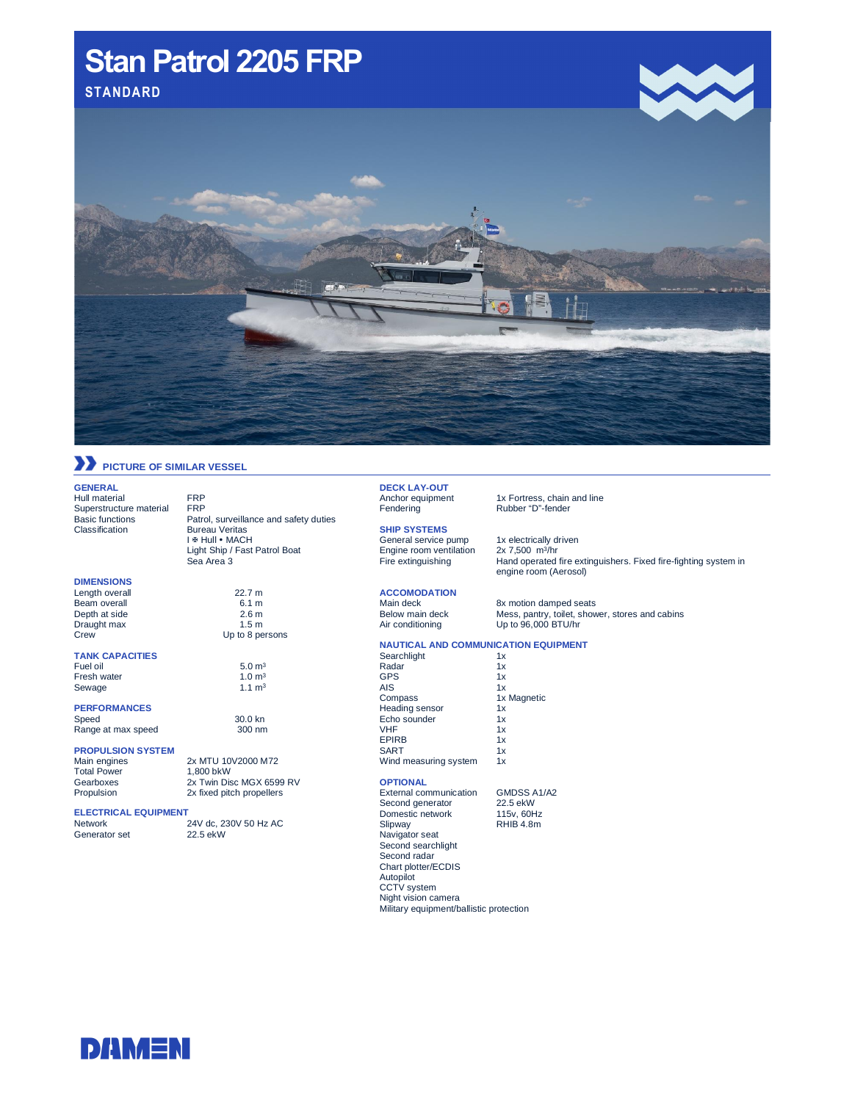# Stan Patrol 2205 FRP **Stan Patrol2205FRP**



# **PICTURE OF SIMILAR VESSEL**

**Bureau Veritas** I & Hull • MACH Light Ship / Fast Patrol Boat

Up to 8 persons

 $5.0 m<sup>3</sup>$ <br>1.0 m<sup>3</sup>

30.0 kn

Sea Area 3

#### **GENERAL**

Hull material FRP<br>Superstructure material FRP Superstructure material<br>Basic functions Basic functions Patrol, surveillance and safety duties<br>
Classification Bureau Veritas

**DIMENSIONS**

#### Length overall 22.7 m<br>Beam overall 6.1 m Beam overall 6.1 m<br>
Depth at side 2.6 m Depth at side 2.6 m<br>Draught max 1.5 m Draught max<br>Crew

**TANK CAPACITIES** Fresh water  $1.0 \text{ m}^3$ <br>Sewage  $1.1 \text{ m}^3$ 

Sewage

# **PERFORMANCES**

Range at max speed 300 nm

### **PROPULSION SYSTEM**

Total Power<br>Gearboxes Gearboxes 2x Twin Disc MGX 6599 RV<br>Propulsion 2x fixed pitch propellers

# **ELECTRICAL EQUIPMENT**

Generator set

24V dc, 230V 50 Hz AC<br>22.5 ekW

2x fixed pitch propellers

2x MTU 10V2000 M72<br>1,800 bkW

# **DECK LAY-OUT**

Fendering Rubber "D"-fender

### **SHIP SYSTEMS**

Engine room ventilation<br>Fire extinguishing

### 1x Fortress, chain and line

General service pump 1x electrically driven<br>Engine room ventilation 2x 7,500 m<sup>3/</sup>hr Hand operated fire extinguishers. Fixed fire-fighting system in engine room (Aerosol)

# **ACCOMODATION**

Main deck 8x motion damped seats<br>Below main deck 8x Mess, pantry, toilet, show

Below main deck Mess, pantry, toilet, shower, stores and cabins<br>Air conditioning Up to 96,000 BTU/hr Up to  $96,000$  BTU/hr

## **NAUTICAL AND COMMUNICATION EQUIPMENT**

| Searchlight           | 1x          |
|-----------------------|-------------|
| Radar                 | 1x          |
| GPS                   | 1x          |
| AIS                   | 1x          |
| Compass               | 1x Magnetic |
| Heading sensor        | 1x          |
| Echo sounder          | 1x          |
| VHF                   | 1x          |
| <b>EPIRB</b>          | 1x          |
| <b>SART</b>           | 1x          |
| Wind measuring system | 1x          |

### **OPTIONAL**

External communication GMDSS A1/A2<br>Second generator 22.5 ekW Second generator 22.5 ekW<br>Domestic network 115v. 60Hz Domestic network 115v, 60Hz<br>Slipway RHIB 4.8m Slipway RHIB 4.8m Navigator seat Second searchlight Second radar Chart plotter/ECDIS Autopilot CCTV system Night vision camera Military equipment/ballistic protection



**DANAENI**